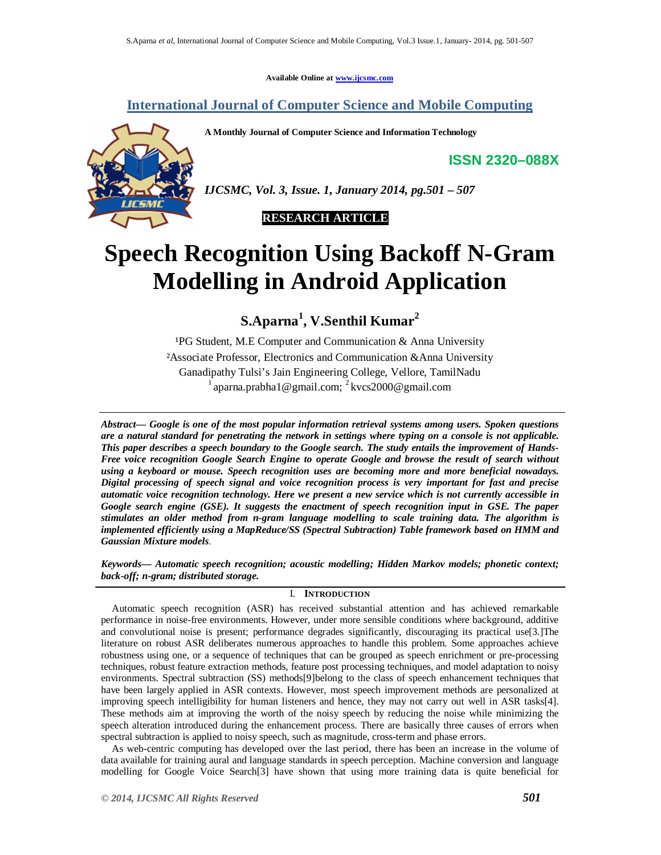**Available Online at www.ijcsmc.com**

# **International Journal of Computer Science and Mobile Computing**

**A Monthly Journal of Computer Science and Information Technology**

**ISSN 2320–088X**



*IJCSMC, Vol. 3, Issue. 1, January 2014, pg.501 – 507*

 **RESEARCH ARTICLE**

# **Speech Recognition Using Backoff N-Gram Modelling in Android Application**  $\overline{a}$

**S.Aparna<sup>1</sup> , V.Senthil Kumar<sup>2</sup>**

 $P$ G Student, M.E Computer and Communication & Anna University ²Associate Professor, Electronics and Communication &Anna University Ganadipathy Tulsi's Jain Engineering College, Vellore, TamilNadu <sup>1</sup> aparna.prabha1@gmail.com; <sup>2</sup> kvcs2000@gmail.com

*Abstract— Google is one of the most popular information retrieval systems among users. Spoken questions are a natural standard for penetrating the network in settings where typing on a console is not applicable. This paper describes a speech boundary to the Google search. The study entails the improvement of Hands-Free voice recognition Google Search Engine to operate Google and browse the result of search without using a keyboard or mouse. Speech recognition uses are becoming more and more beneficial nowadays. Digital processing of speech signal and voice recognition process is very important for fast and precise automatic voice recognition technology. Here we present a new service which is not currently accessible in Google search engine (GSE). It suggests the enactment of speech recognition input in GSE. The paper stimulates an older method from n-gram language modelling to scale training data. The algorithm is implemented efficiently using a MapReduce/SS (Spectral Subtraction) Table framework based on HMM and Gaussian Mixture models*.

*Keywords— Automatic speech recognition; acoustic modelling; Hidden Markov models; phonetic context; back-off; n-gram; distributed storage.*

# I. **INTRODUCTION**

Automatic speech recognition (ASR) has received substantial attention and has achieved remarkable performance in noise-free environments. However, under more sensible conditions where background, additive and convolutional noise is present; performance degrades significantly, discouraging its practical use[3.]The literature on robust ASR deliberates numerous approaches to handle this problem. Some approaches achieve robustness using one, or a sequence of techniques that can be grouped as speech enrichment or pre-processing techniques, robust feature extraction methods, feature post processing techniques, and model adaptation to noisy environments. Spectral subtraction (SS) methods[9]belong to the class of speech enhancement techniques that have been largely applied in ASR contexts. However, most speech improvement methods are personalized at improving speech intelligibility for human listeners and hence, they may not carry out well in ASR tasks[4]. These methods aim at improving the worth of the noisy speech by reducing the noise while minimizing the speech alteration introduced during the enhancement process. There are basically three causes of errors when spectral subtraction is applied to noisy speech, such as magnitude, cross-term and phase errors.

As web-centric computing has developed over the last period, there has been an increase in the volume of data available for training aural and language standards in speech perception. Machine conversion and language modelling for Google Voice Search[3] have shown that using more training data is quite beneficial for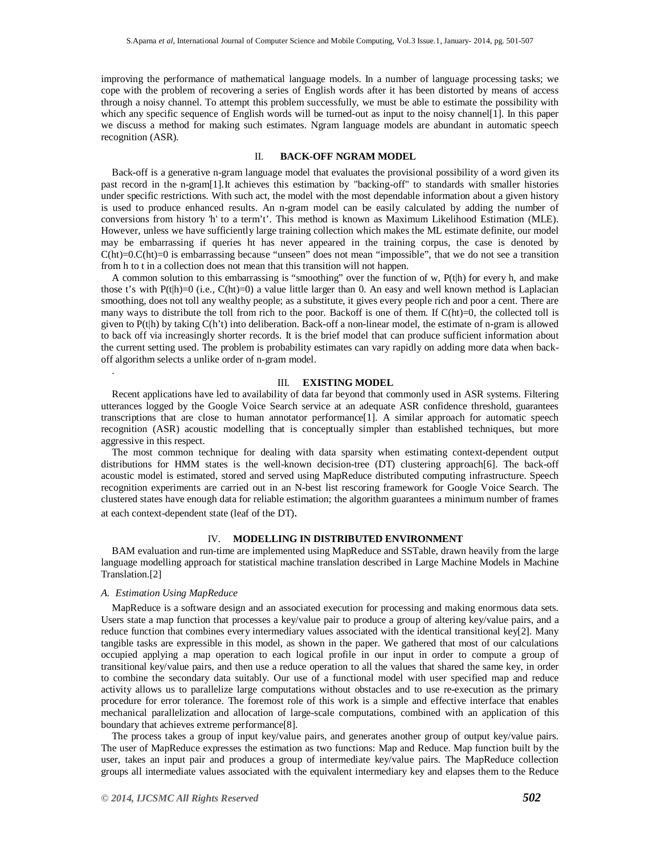improving the performance of mathematical language models. In a number of language processing tasks; we cope with the problem of recovering a series of English words after it has been distorted by means of access through a noisy channel. To attempt this problem successfully, we must be able to estimate the possibility with which any specific sequence of English words will be turned-out as input to the noisy channel[1]. In this paper we discuss a method for making such estimates. Ngram language models are abundant in automatic speech recognition (ASR).

#### II. **BACK-OFF NGRAM MODEL**

Back-off is a generative n-gram language model that evaluates the provisional possibility of a word given its past record in the n-gram[1].It achieves this estimation by "backing-off" to standards with smaller histories under specific restrictions. With such act, the model with the most dependable information about a given history is used to produce enhanced results. An n-gram model can be easily calculated by adding the number of conversions from history 'h' to a term't'. This method is known as Maximum Likelihood Estimation (MLE). However, unless we have sufficiently large training collection which makes the ML estimate definite, our model may be embarrassing if queries ht has never appeared in the training corpus, the case is denoted by C(ht)=0.C(ht)=0 is embarrassing because "unseen" does not mean "impossible", that we do not see a transition from h to t in a collection does not mean that this transition will not happen.

A common solution to this embarrassing is "smoothing" over the function of w,  $P(t|h)$  for every h, and make those t's with P(t|h)=0 (i.e., C(ht)=0) a value little larger than 0. An easy and well known method is Laplacian smoothing, does not toll any wealthy people; as a substitute, it gives every people rich and poor a cent. There are many ways to distribute the toll from rich to the poor. Backoff is one of them. If C(ht)=0, the collected toll is given to P(t|h) by taking C(h't) into deliberation. Back-off a non-linear model, the estimate of n-gram is allowed to back off via increasingly shorter records. It is the brief model that can produce sufficient information about the current setting used. The problem is probability estimates can vary rapidly on adding more data when backoff algorithm selects a unlike order of n-gram model.

# III. **EXISTING MODEL**

Recent applications have led to availability of data far beyond that commonly used in ASR systems. Filtering utterances logged by the Google Voice Search service at an adequate ASR confidence threshold, guarantees transcriptions that are close to human annotator performance[1]. A similar approach for automatic speech recognition (ASR) acoustic modelling that is conceptually simpler than established techniques, but more aggressive in this respect.

The most common technique for dealing with data sparsity when estimating context-dependent output distributions for HMM states is the well-known decision-tree (DT) clustering approach[6]. The back-off acoustic model is estimated, stored and served using MapReduce distributed computing infrastructure. Speech recognition experiments are carried out in an N-best list rescoring framework for Google Voice Search. The clustered states have enough data for reliable estimation; the algorithm guarantees a minimum number of frames at each context-dependent state (leaf of the DT).

#### IV. **MODELLING IN DISTRIBUTED ENVIRONMENT**

BAM evaluation and run-time are implemented using MapReduce and SSTable, drawn heavily from the large language modelling approach for statistical machine translation described in Large Machine Models in Machine Translation.[2]

# *A. Estimation Using MapReduce*

.

MapReduce is a software design and an associated execution for processing and making enormous data sets. Users state a map function that processes a key/value pair to produce a group of altering key/value pairs, and a reduce function that combines every intermediary values associated with the identical transitional key[2]. Many tangible tasks are expressible in this model, as shown in the paper. We gathered that most of our calculations occupied applying a map operation to each logical profile in our input in order to compute a group of transitional key/value pairs, and then use a reduce operation to all the values that shared the same key, in order to combine the secondary data suitably. Our use of a functional model with user specified map and reduce activity allows us to parallelize large computations without obstacles and to use re-execution as the primary procedure for error tolerance. The foremost role of this work is a simple and effective interface that enables mechanical parallelization and allocation of large-scale computations, combined with an application of this boundary that achieves extreme performance[8].

The process takes a group of input key/value pairs, and generates another group of output key/value pairs. The user of MapReduce expresses the estimation as two functions: Map and Reduce. Map function built by the user, takes an input pair and produces a group of intermediate key/value pairs. The MapReduce collection groups all intermediate values associated with the equivalent intermediary key and elapses them to the Reduce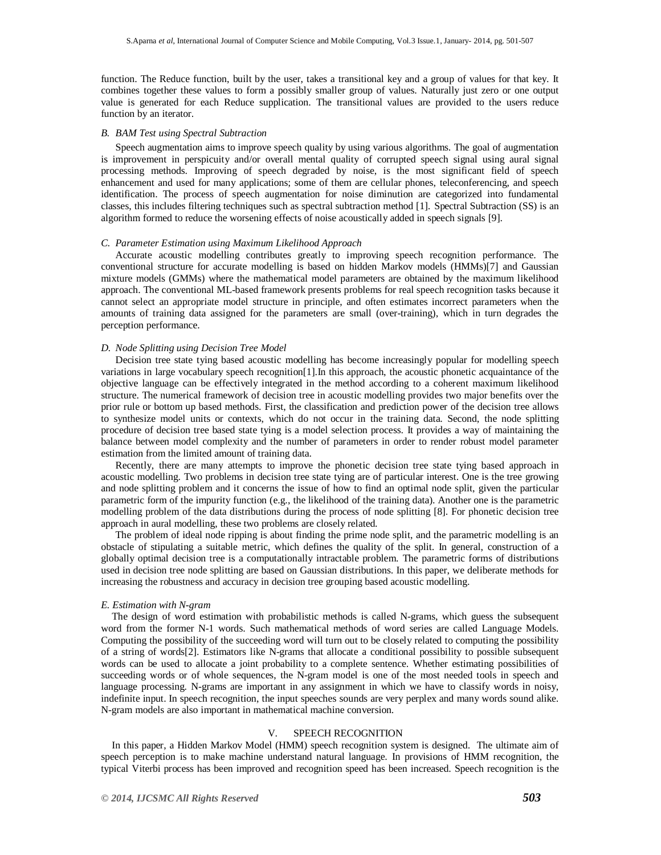function. The Reduce function, built by the user, takes a transitional key and a group of values for that key. It combines together these values to form a possibly smaller group of values. Naturally just zero or one output value is generated for each Reduce supplication. The transitional values are provided to the users reduce function by an iterator.

#### *B. BAM Test using Spectral Subtraction*

Speech augmentation aims to improve speech quality by using various algorithms. The goal of augmentation is improvement in perspicuity and/or overall mental quality of corrupted speech signal using aural signal processing methods. Improving of speech degraded by noise, is the most significant field of speech enhancement and used for many applications; some of them are cellular phones, teleconferencing, and speech identification. The process of speech augmentation for noise diminution are categorized into fundamental classes, this includes filtering techniques such as spectral subtraction method [1]. Spectral Subtraction (SS) is an algorithm formed to reduce the worsening effects of noise acoustically added in speech signals [9].

# *C. Parameter Estimation using Maximum Likelihood Approach*

Accurate acoustic modelling contributes greatly to improving speech recognition performance. The conventional structure for accurate modelling is based on hidden Markov models (HMMs)[7] and Gaussian mixture models (GMMs) where the mathematical model parameters are obtained by the maximum likelihood approach. The conventional ML-based framework presents problems for real speech recognition tasks because it cannot select an appropriate model structure in principle, and often estimates incorrect parameters when the amounts of training data assigned for the parameters are small (over-training), which in turn degrades the perception performance.

# *D. Node Splitting using Decision Tree Model*

Decision tree state tying based acoustic modelling has become increasingly popular for modelling speech variations in large vocabulary speech recognition[1].In this approach, the acoustic phonetic acquaintance of the objective language can be effectively integrated in the method according to a coherent maximum likelihood structure. The numerical framework of decision tree in acoustic modelling provides two major benefits over the prior rule or bottom up based methods. First, the classification and prediction power of the decision tree allows to synthesize model units or contexts, which do not occur in the training data. Second, the node splitting procedure of decision tree based state tying is a model selection process. It provides a way of maintaining the balance between model complexity and the number of parameters in order to render robust model parameter estimation from the limited amount of training data.

Recently, there are many attempts to improve the phonetic decision tree state tying based approach in acoustic modelling. Two problems in decision tree state tying are of particular interest. One is the tree growing and node splitting problem and it concerns the issue of how to find an optimal node split, given the particular parametric form of the impurity function (e.g., the likelihood of the training data). Another one is the parametric modelling problem of the data distributions during the process of node splitting [8]. For phonetic decision tree approach in aural modelling, these two problems are closely related.

The problem of ideal node ripping is about finding the prime node split, and the parametric modelling is an obstacle of stipulating a suitable metric, which defines the quality of the split. In general, construction of a globally optimal decision tree is a computationally intractable problem. The parametric forms of distributions used in decision tree node splitting are based on Gaussian distributions. In this paper, we deliberate methods for increasing the robustness and accuracy in decision tree grouping based acoustic modelling.

# *E. Estimation with N-gram*

The design of word estimation with probabilistic methods is called N-grams, which guess the subsequent word from the former N-1 words. Such mathematical methods of word series are called Language Models. Computing the possibility of the succeeding word will turn out to be closely related to computing the possibility of a string of words[2]. Estimators like N-grams that allocate a conditional possibility to possible subsequent words can be used to allocate a joint probability to a complete sentence. Whether estimating possibilities of succeeding words or of whole sequences, the N-gram model is one of the most needed tools in speech and language processing. N-grams are important in any assignment in which we have to classify words in noisy, indefinite input. In speech recognition, the input speeches sounds are very perplex and many words sound alike. N-gram models are also important in mathematical machine conversion.

# V. SPEECH RECOGNITION

In this paper, a Hidden Markov Model (HMM) speech recognition system is designed. The ultimate aim of speech perception is to make machine understand natural language. In provisions of HMM recognition, the typical Viterbi process has been improved and recognition speed has been increased. Speech recognition is the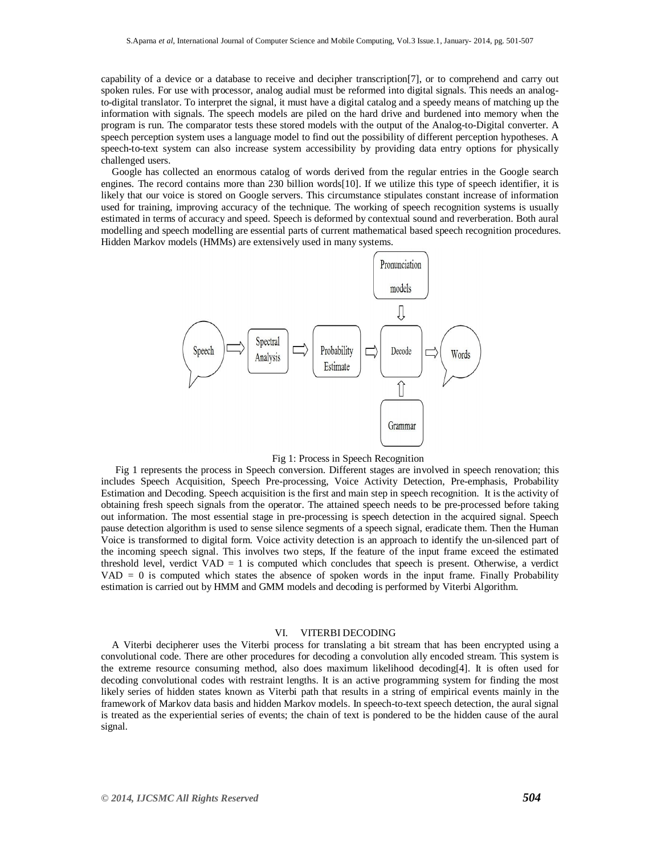capability of a device or a database to receive and decipher transcription[7], or to comprehend and carry out spoken rules. For use with processor, analog audial must be reformed into digital signals. This needs an analogto-digital translator. To interpret the signal, it must have a digital catalog and a speedy means of matching up the information with signals. The speech models are piled on the hard drive and burdened into memory when the program is run. The comparator tests these stored models with the output of the Analog-to-Digital converter. A speech perception system uses a language model to find out the possibility of different perception hypotheses. A speech-to-text system can also increase system accessibility by providing data entry options for physically challenged users.

Google has collected an enormous catalog of words derived from the regular entries in the Google search engines. The record contains more than 230 billion words[10]. If we utilize this type of speech identifier, it is likely that our voice is stored on Google servers. This circumstance stipulates constant increase of information used for training, improving accuracy of the technique. The working of speech recognition systems is usually estimated in terms of accuracy and speed. Speech is deformed by contextual sound and reverberation. Both aural modelling and speech modelling are essential parts of current mathematical based speech recognition procedures. Hidden Markov models (HMMs) are extensively used in many systems.



Fig 1: Process in Speech Recognition

Fig 1 represents the process in Speech conversion. Different stages are involved in speech renovation; this includes Speech Acquisition, Speech Pre-processing, Voice Activity Detection, Pre-emphasis, Probability Estimation and Decoding. Speech acquisition is the first and main step in speech recognition. It is the activity of obtaining fresh speech signals from the operator. The attained speech needs to be pre-processed before taking out information. The most essential stage in pre-processing is speech detection in the acquired signal. Speech pause detection algorithm is used to sense silence segments of a speech signal, eradicate them. Then the Human Voice is transformed to digital form. Voice activity detection is an approach to identify the un-silenced part of the incoming speech signal. This involves two steps, If the feature of the input frame exceed the estimated threshold level, verdict  $VAD = 1$  is computed which concludes that speech is present. Otherwise, a verdict VAD = 0 is computed which states the absence of spoken words in the input frame. Finally Probability estimation is carried out by HMM and GMM models and decoding is performed by Viterbi Algorithm.

# VI. VITERBI DECODING

A Viterbi decipherer uses the Viterbi process for translating a bit stream that has been encrypted using a convolutional code. There are other procedures for decoding a convolution ally encoded stream. This system is the extreme resource consuming method, also does maximum likelihood decoding[4]. It is often used for decoding convolutional codes with restraint lengths. It is an active programming system for finding the most likely series of hidden states known as Viterbi path that results in a string of empirical events mainly in the framework of Markov data basis and hidden Markov models. In speech-to-text speech detection, the aural signal is treated as the experiential series of events; the chain of text is pondered to be the hidden cause of the aural signal.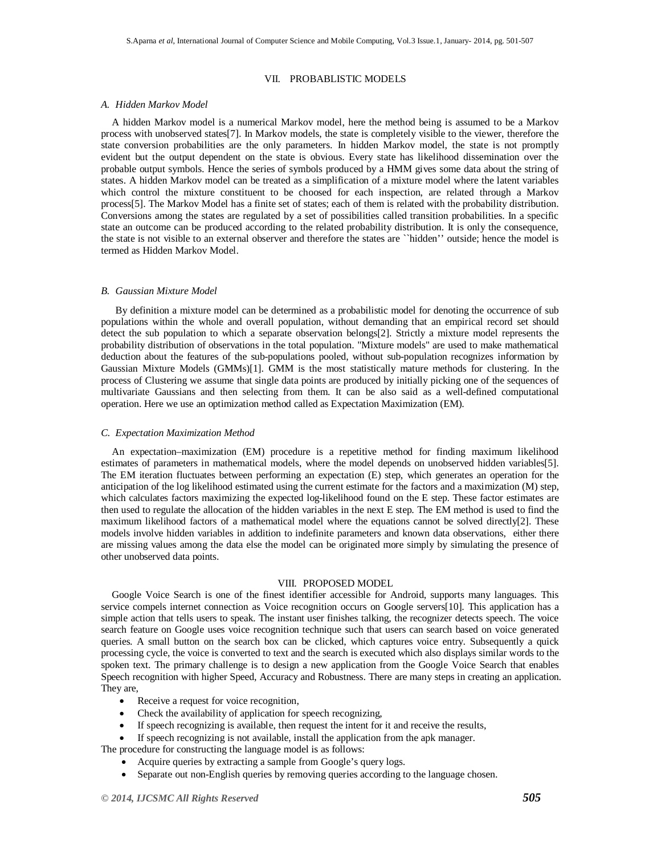# VII. PROBABLISTIC MODELS

# *A. Hidden Markov Model*

A hidden Markov model is a numerical Markov model, here the method being is assumed to be a Markov process with unobserved states[7]. In Markov models, the state is completely visible to the viewer, therefore the state conversion probabilities are the only parameters. In hidden Markov model, the state is not promptly evident but the output dependent on the state is obvious. Every state has likelihood dissemination over the probable output symbols. Hence the series of symbols produced by a HMM gives some data about the string of states. A hidden Markov model can be treated as a simplification of a mixture model where the latent variables which control the mixture constituent to be choosed for each inspection, are related through a Markov process[5]. The Markov Model has a finite set of states; each of them is related with the probability distribution. Conversions among the states are regulated by a set of possibilities called transition probabilities. In a specific state an outcome can be produced according to the related probability distribution. It is only the consequence, the state is not visible to an external observer and therefore the states are ``hidden'' outside; hence the model is termed as Hidden Markov Model.

# *B. Gaussian Mixture Model*

By definition a mixture model can be determined as a probabilistic model for denoting the occurrence of sub populations within the whole and overall population, without demanding that an empirical record set should detect the sub population to which a separate observation belongs[2]. Strictly a mixture model represents the probability distribution of observations in the total population. "Mixture models" are used to make mathematical deduction about the features of the sub-populations pooled, without sub-population recognizes information by Gaussian Mixture Models (GMMs)[1]. GMM is the most statistically mature methods for clustering. In the process of Clustering we assume that single data points are produced by initially picking one of the sequences of multivariate Gaussians and then selecting from them. It can be also said as a well-defined computational operation. Here we use an optimization method called as Expectation Maximization (EM).

# *C. Expectation Maximization Method*

An expectation–maximization (EM) procedure is a repetitive method for finding maximum likelihood estimates of parameters in mathematical models, where the model depends on unobserved hidden variables[5]. The EM iteration fluctuates between performing an expectation (E) step, which generates an operation for the anticipation of the log likelihood estimated using the current estimate for the factors and a maximization (M) step, which calculates factors maximizing the expected log-likelihood found on the E step. These factor estimates are then used to regulate the allocation of the hidden variables in the next E step. The EM method is used to find the maximum likelihood factors of a mathematical model where the equations cannot be solved directly[2]. These models involve hidden variables in addition to indefinite parameters and known data observations, either there are missing values among the data else the model can be originated more simply by simulating the presence of other unobserved data points.

# VIII. PROPOSED MODEL

Google Voice Search is one of the finest identifier accessible for Android, supports many languages. This service compels internet connection as Voice recognition occurs on Google servers[10]. This application has a simple action that tells users to speak. The instant user finishes talking, the recognizer detects speech. The voice search feature on Google uses voice recognition technique such that users can search based on voice generated queries. A small button on the search box can be clicked, which captures voice entry. Subsequently a quick processing cycle, the voice is converted to text and the search is executed which also displays similar words to the spoken text. The primary challenge is to design a new application from the Google Voice Search that enables Speech recognition with higher Speed, Accuracy and Robustness. There are many steps in creating an application. They are,

- Receive a request for voice recognition,
- Check the availability of application for speech recognizing,
- If speech recognizing is available, then request the intent for it and receive the results,
- If speech recognizing is not available, install the application from the apk manager.

The procedure for constructing the language model is as follows:

- Acquire queries by extracting a sample from Google's query logs.
- Separate out non-English queries by removing queries according to the language chosen.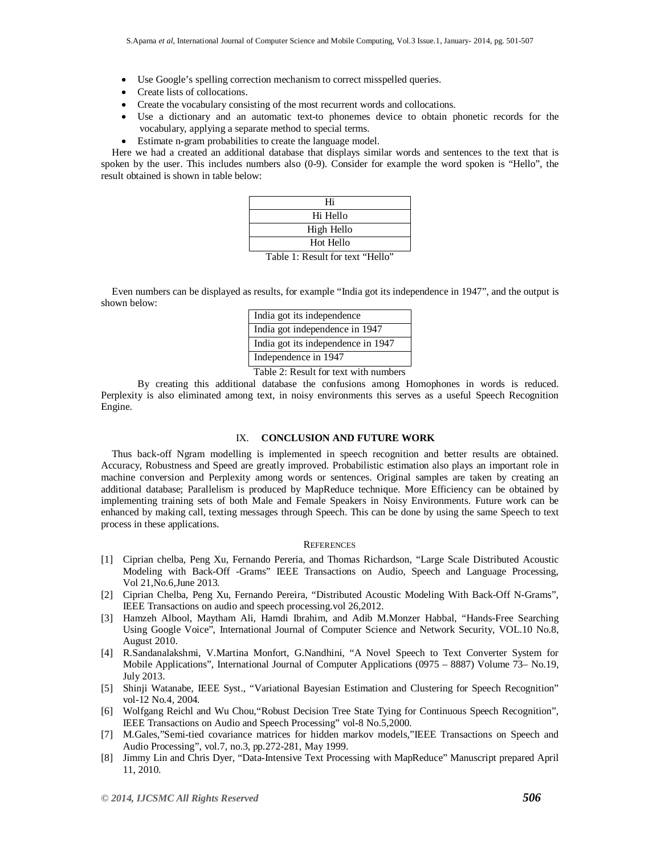- Use Google's spelling correction mechanism to correct misspelled queries.
- Create lists of collocations.
- Create the vocabulary consisting of the most recurrent words and collocations.
- Use a dictionary and an automatic text-to phonemes device to obtain phonetic records for the vocabulary, applying a separate method to special terms.
- Estimate n-gram probabilities to create the language model.

Here we had a created an additional database that displays similar words and sentences to the text that is spoken by the user. This includes numbers also (0-9). Consider for example the word spoken is "Hello", the result obtained is shown in table below:

| Hi                       |     |
|--------------------------|-----|
| Hi Hello                 |     |
| High Hello               |     |
| Hot Hello                |     |
| $\overline{\phantom{a}}$ | - - |

Table 1: Result for text "Hello"

Even numbers can be displayed as results, for example "India got its independence in 1947", and the output is shown below:

| India got its independence         |
|------------------------------------|
| India got independence in 1947     |
| India got its independence in 1947 |
| Independence in 1947               |

Table 2: Result for text with numbers

By creating this additional database the confusions among Homophones in words is reduced. Perplexity is also eliminated among text, in noisy environments this serves as a useful Speech Recognition Engine.

#### IX. **CONCLUSION AND FUTURE WORK**

Thus back-off Ngram modelling is implemented in speech recognition and better results are obtained. Accuracy, Robustness and Speed are greatly improved. Probabilistic estimation also plays an important role in machine conversion and Perplexity among words or sentences. Original samples are taken by creating an additional database; Parallelism is produced by MapReduce technique. More Efficiency can be obtained by implementing training sets of both Male and Female Speakers in Noisy Environments. Future work can be enhanced by making call, texting messages through Speech. This can be done by using the same Speech to text process in these applications.

#### **REFERENCES**

- [1] Ciprian chelba, Peng Xu, Fernando Pereria, and Thomas Richardson, "Large Scale Distributed Acoustic Modeling with Back-Off -Grams" IEEE Transactions on Audio, Speech and Language Processing, Vol 21,No.6,June 2013.
- [2] Ciprian Chelba, Peng Xu, Fernando Pereira, "Distributed Acoustic Modeling With Back-Off N-Grams", IEEE Transactions on audio and speech processing.vol 26,2012.
- [3] Hamzeh Albool, Maytham Ali, Hamdi Ibrahim, and Adib M.Monzer Habbal, "Hands-Free Searching Using Google Voice", International Journal of Computer Science and Network Security, VOL.10 No.8, August 2010.
- [4] R.Sandanalakshmi, V.Martina Monfort, G.Nandhini, "A Novel Speech to Text Converter System for Mobile Applications", International Journal of Computer Applications (0975 – 8887) Volume 73– No.19, July 2013.
- [5] Shinji Watanabe, IEEE Syst., "Variational Bayesian Estimation and Clustering for Speech Recognition" vol-12 No.4, 2004*.*
- [6] Wolfgang Reichl and Wu Chou,"Robust Decision Tree State Tying for Continuous Speech Recognition", IEEE Transactions on Audio and Speech Processing" vol-8 No.5,2000.
- [7] M.Gales,"Semi-tied covariance matrices for hidden markov models,"IEEE Transactions on Speech and Audio Processing", vol.7, no.3, pp.272-281, May 1999.
- [8] Jimmy Lin and Chris Dyer, "Data-Intensive Text Processing with MapReduce" Manuscript prepared April 11, 2010.